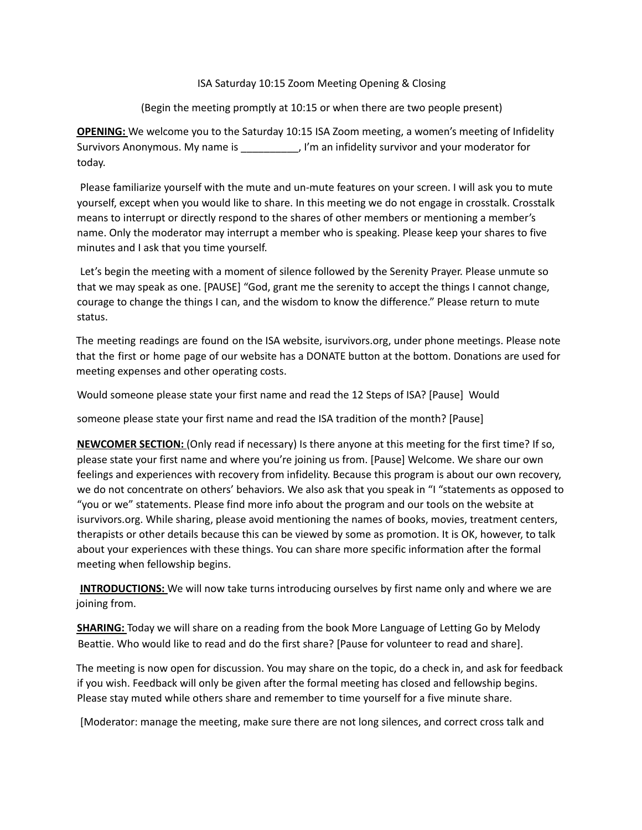## ISA Saturday 10:15 Zoom Meeting Opening & Closing

## (Begin the meeting promptly at 10:15 or when there are two people present)

**OPENING:** We welcome you to the Saturday 10:15 ISA Zoom meeting, a women's meeting of Infidelity Survivors Anonymous. My name is \_\_\_\_\_\_\_\_\_\_, I'm an infidelity survivor and your moderator for today.

Please familiarize yourself with the mute and un-mute features on your screen. I will ask you to mute yourself, except when you would like to share. In this meeting we do not engage in crosstalk. Crosstalk means to interrupt or directly respond to the shares of other members or mentioning a member's name. Only the moderator may interrupt a member who is speaking. Please keep your shares to five minutes and I ask that you time yourself.

Let's begin the meeting with a moment of silence followed by the Serenity Prayer. Please unmute so that we may speak as one. [PAUSE] "God, grant me the serenity to accept the things I cannot change, courage to change the things I can, and the wisdom to know the difference." Please return to mute status.

The meeting readings are found on the ISA website, isurvivors.org, under phone meetings. Please note that the first or home page of our website has a DONATE button at the bottom. Donations are used for meeting expenses and other operating costs.

Would someone please state your first name and read the 12 Steps of ISA? [Pause] Would

someone please state your first name and read the ISA tradition of the month? [Pause]

**NEWCOMER SECTION:** (Only read if necessary) Is there anyone at this meeting for the first time? If so, please state your first name and where you're joining us from. [Pause] Welcome. We share our own feelings and experiences with recovery from infidelity. Because this program is about our own recovery, we do not concentrate on others' behaviors. We also ask that you speak in "I "statements as opposed to "you or we" statements. Please find more info about the program and our tools on the website at isurvivors.org. While sharing, please avoid mentioning the names of books, movies, treatment centers, therapists or other details because this can be viewed by some as promotion. It is OK, however, to talk about your experiences with these things. You can share more specific information after the formal meeting when fellowship begins.

**INTRODUCTIONS:** We will now take turns introducing ourselves by first name only and where we are joining from.

**SHARING:** Today we will share on a reading from the book More Language of Letting Go by Melody Beattie. Who would like to read and do the first share? [Pause for volunteer to read and share].

The meeting is now open for discussion. You may share on the topic, do a check in, and ask for feedback if you wish. Feedback will only be given after the formal meeting has closed and fellowship begins. Please stay muted while others share and remember to time yourself for a five minute share.

[Moderator: manage the meeting, make sure there are not long silences, and correct cross talk and